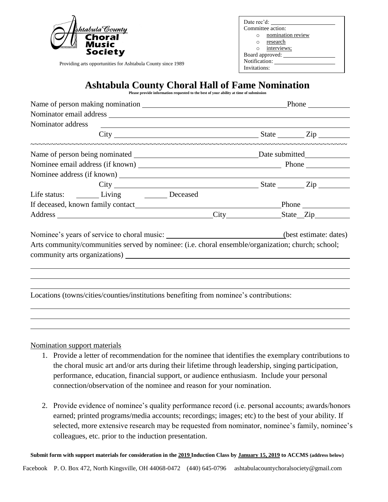| shtabula County |
|-----------------|
| Choral<br>Music |
| Society         |

Providing arts opportunities for Ashtabula County since 1989

| Date rec'd:       |                   |  |  |  |
|-------------------|-------------------|--|--|--|
| Committee action: |                   |  |  |  |
|                   | nomination review |  |  |  |
| $\circ$           | research          |  |  |  |
| $\circ$           | interviews;       |  |  |  |
| Board approved:   |                   |  |  |  |
| Notification:     |                   |  |  |  |
| .                 |                   |  |  |  |

Invitations:

## **Ashtabula County Choral Hall of Fame Nomination**

|  |  |  | ____ |                                                                                        |  |  |  |
|--|--|--|------|----------------------------------------------------------------------------------------|--|--|--|
|  |  |  |      | Please provide information requested to the best of your ability at time of submission |  |  |  |

| Nominator address contract to the contract of the contract of the contract of the contract of the contract of the contract of the contract of the contract of the contract of the contract of the contract of the contract of |                                                                                                   |
|-------------------------------------------------------------------------------------------------------------------------------------------------------------------------------------------------------------------------------|---------------------------------------------------------------------------------------------------|
|                                                                                                                                                                                                                               |                                                                                                   |
|                                                                                                                                                                                                                               |                                                                                                   |
|                                                                                                                                                                                                                               |                                                                                                   |
|                                                                                                                                                                                                                               |                                                                                                   |
|                                                                                                                                                                                                                               |                                                                                                   |
| Life status: _________ Living _________ Deceased                                                                                                                                                                              |                                                                                                   |
|                                                                                                                                                                                                                               |                                                                                                   |
|                                                                                                                                                                                                                               |                                                                                                   |
|                                                                                                                                                                                                                               | Nominee's years of service to choral music: ______________________________(best estimate: dates)  |
|                                                                                                                                                                                                                               | Arts community/communities served by nominee: (i.e. choral ensemble/organization; church; school; |
|                                                                                                                                                                                                                               |                                                                                                   |
|                                                                                                                                                                                                                               |                                                                                                   |
|                                                                                                                                                                                                                               |                                                                                                   |
|                                                                                                                                                                                                                               |                                                                                                   |
|                                                                                                                                                                                                                               | Locations (towns/cities/counties/institutions benefiting from nominee's contributions:            |
|                                                                                                                                                                                                                               |                                                                                                   |
|                                                                                                                                                                                                                               |                                                                                                   |

Nomination support materials

- 1. Provide a letter of recommendation for the nominee that identifies the exemplary contributions to the choral music art and/or arts during their lifetime through leadership, singing participation, performance, education, financial support, or audience enthusiasm. Include your personal connection/observation of the nominee and reason for your nomination.
- 2. Provide evidence of nominee's quality performance record (i.e. personal accounts; awards/honors earned; printed programs/media accounts; recordings; images; etc) to the best of your ability. If selected, more extensive research may be requested from nominator, nominee's family, nominee's colleagues, etc. prior to the induction presentation.

**Submit form with support materials for consideration in the 2019 Induction Class by January 15, 2019 to ACCMS (address below)**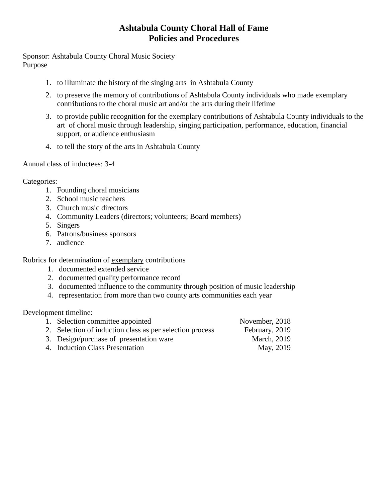### **Ashtabula County Choral Hall of Fame Policies and Procedures**

Sponsor: Ashtabula County Choral Music Society Purpose

- 1. to illuminate the history of the singing arts in Ashtabula County
- 2. to preserve the memory of contributions of Ashtabula County individuals who made exemplary contributions to the choral music art and/or the arts during their lifetime
- 3. to provide public recognition for the exemplary contributions of Ashtabula County individuals to the art of choral music through leadership, singing participation, performance, education, financial support, or audience enthusiasm
- 4. to tell the story of the arts in Ashtabula County

Annual class of inductees: 3-4

Categories:

- 1. Founding choral musicians
- 2. School music teachers
- 3. Church music directors
- 4. Community Leaders (directors; volunteers; Board members)
- 5. Singers
- 6. Patrons/business sponsors
- 7. audience

Rubrics for determination of exemplary contributions

- 1. documented extended service
- 2. documented quality performance record
- 3. documented influence to the community through position of music leadership
- 4. representation from more than two county arts communities each year

Development timeline:

| 1. Selection committee appointed                         | November, 2018      |
|----------------------------------------------------------|---------------------|
| 2. Selection of induction class as per selection process | February, 2019      |
| 3. Design/purchase of presentation ware                  | <b>March</b> , 2019 |
| 4. Induction Class Presentation                          | May, 2019           |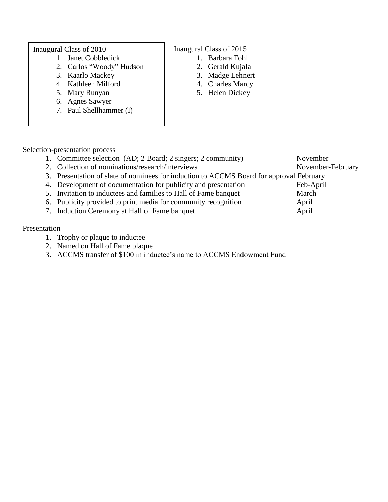#### Inaugural Class of 2010

- 1. Janet Cobbledick
- 2. Carlos "Woody" Hudson
- 3. Kaarlo Mackey
- 4. Kathleen Milford
- 5. Mary Runyan
- 6. Agnes Sawyer
- 7. Paul Shellhammer (I)

### Inaugural Class of 2015

- 1. Barbara Fohl
- 2. Gerald Kujala
- 3. Madge Lehnert
- 4. Charles Marcy
- 5. Helen Dickey

- Selection-presentation process
	- 1. Committee selection (AD; 2 Board; 2 singers; 2 community) November
	- 2. Collection of nominations/research/interviews November-February
	- 3. Presentation of slate of nominees for induction to ACCMS Board for approval February
	- 4. Development of documentation for publicity and presentation Feb-April
	- 5. Invitation to inductees and families to Hall of Fame banquet March
	- 6. Publicity provided to print media for community recognition April
	- 7. Induction Ceremony at Hall of Fame banquet April

### Presentation

- 1. Trophy or plaque to inductee
- 2. Named on Hall of Fame plaque
- 3. ACCMS transfer of \$100 in inductee's name to ACCMS Endowment Fund
- 
- 
- 

- - -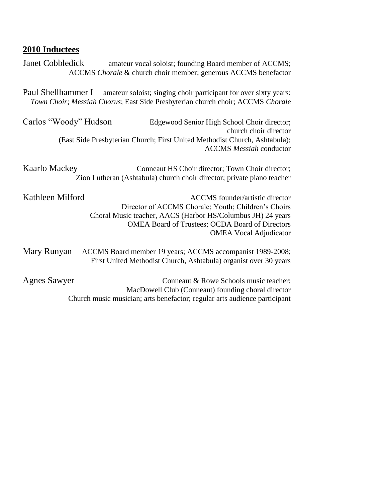# **2010 Inductees**

| Janet Cobbledick<br>amateur vocal soloist; founding Board member of ACCMS;<br>ACCMS Chorale & church choir member; generous ACCMS benefactor                             |                                                                                                                                                                                                                                                         |  |  |  |
|--------------------------------------------------------------------------------------------------------------------------------------------------------------------------|---------------------------------------------------------------------------------------------------------------------------------------------------------------------------------------------------------------------------------------------------------|--|--|--|
| Paul Shellhammer I<br>amateur soloist; singing choir participant for over sixty years:<br>Town Choir; Messiah Chorus; East Side Presbyterian church choir; ACCMS Chorale |                                                                                                                                                                                                                                                         |  |  |  |
| Carlos "Woody" Hudson                                                                                                                                                    | Edgewood Senior High School Choir director;<br>church choir director<br>(East Side Presbyterian Church; First United Methodist Church, Ashtabula);<br><b>ACCMS</b> Messiah conductor                                                                    |  |  |  |
| <b>Kaarlo Mackey</b>                                                                                                                                                     | Conneaut HS Choir director; Town Choir director;<br>Zion Lutheran (Ashtabula) church choir director; private piano teacher                                                                                                                              |  |  |  |
| Kathleen Milford                                                                                                                                                         | <b>ACCMS</b> founder/artistic director<br>Director of ACCMS Chorale; Youth; Children's Choirs<br>Choral Music teacher, AACS (Harbor HS/Columbus JH) 24 years<br><b>OMEA Board of Trustees; OCDA Board of Directors</b><br><b>OMEA Vocal Adjudicator</b> |  |  |  |
| Mary Runyan                                                                                                                                                              | ACCMS Board member 19 years; ACCMS accompanist 1989-2008;<br>First United Methodist Church, Ashtabula) organist over 30 years                                                                                                                           |  |  |  |
| <b>Agnes Sawyer</b>                                                                                                                                                      | Conneaut & Rowe Schools music teacher;<br>MacDowell Club (Conneaut) founding choral director<br>Church music musician; arts benefactor; regular arts audience participant                                                                               |  |  |  |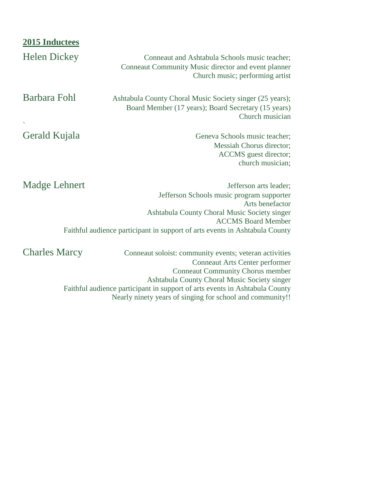| 2015 Inductees       |                                                                                                                                                                                                                                                                                                                                        |
|----------------------|----------------------------------------------------------------------------------------------------------------------------------------------------------------------------------------------------------------------------------------------------------------------------------------------------------------------------------------|
| <b>Helen Dickey</b>  | Conneaut and Ashtabula Schools music teacher;<br>Conneaut Community Music director and event planner<br>Church music; performing artist                                                                                                                                                                                                |
| Barbara Fohl         | Ashtabula County Choral Music Society singer (25 years);<br>Board Member (17 years); Board Secretary (15 years)<br>Church musician                                                                                                                                                                                                     |
| Gerald Kujala        | Geneva Schools music teacher;<br>Messiah Chorus director;<br>ACCMS guest director;<br>church musician;                                                                                                                                                                                                                                 |
| Madge Lehnert        | Jefferson arts leader;<br>Jefferson Schools music program supporter<br>Arts benefactor<br>Ashtabula County Choral Music Society singer<br><b>ACCMS</b> Board Member<br>Faithful audience participant in support of arts events in Ashtabula County                                                                                     |
| <b>Charles Marcy</b> | Conneaut soloist: community events; veteran activities<br><b>Conneaut Arts Center performer</b><br><b>Conneaut Community Chorus member</b><br>Ashtabula County Choral Music Society singer<br>Faithful audience participant in support of arts events in Ashtabula County<br>Nearly ninety years of singing for school and community!! |